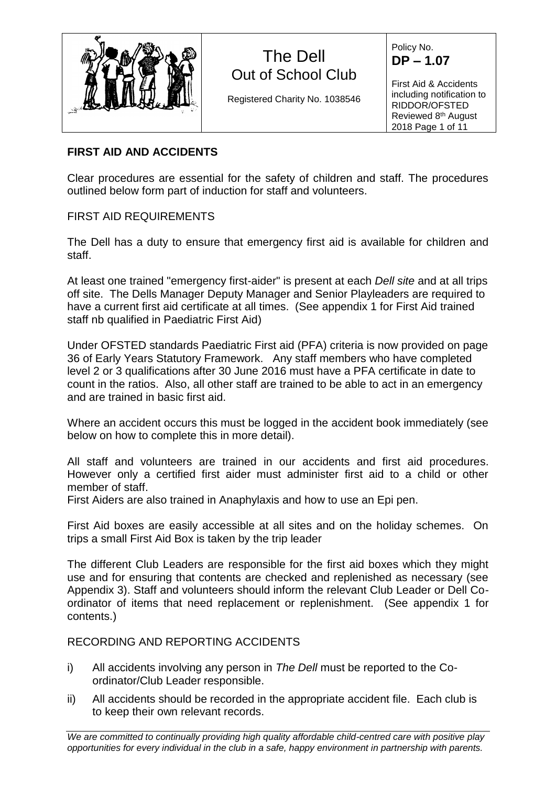

Registered Charity No. 1038546

Policy No. **DP – 1.07**

First Aid & Accidents including notification to RIDDOR/OFSTED Reviewed 8<sup>th</sup> August 2018 Page 1 of 11

## **FIRST AID AND ACCIDENTS**

Clear procedures are essential for the safety of children and staff. The procedures outlined below form part of induction for staff and volunteers.

## FIRST AID REQUIREMENTS

The Dell has a duty to ensure that emergency first aid is available for children and staff.

At least one trained "emergency first-aider" is present at each *Dell site* and at all trips off site. The Dells Manager Deputy Manager and Senior Playleaders are required to have a current first aid certificate at all times. (See appendix 1 for First Aid trained staff nb qualified in Paediatric First Aid)

Under OFSTED standards Paediatric First aid (PFA) criteria is now provided on page 36 of Early Years Statutory Framework. Any staff members who have completed level 2 or 3 qualifications after 30 June 2016 must have a PFA certificate in date to count in the ratios. Also, all other staff are trained to be able to act in an emergency and are trained in basic first aid.

Where an accident occurs this must be logged in the accident book immediately (see below on how to complete this in more detail).

All staff and volunteers are trained in our accidents and first aid procedures. However only a certified first aider must administer first aid to a child or other member of staff.

First Aiders are also trained in Anaphylaxis and how to use an Epi pen.

First Aid boxes are easily accessible at all sites and on the holiday schemes. On trips a small First Aid Box is taken by the trip leader

The different Club Leaders are responsible for the first aid boxes which they might use and for ensuring that contents are checked and replenished as necessary (see Appendix 3). Staff and volunteers should inform the relevant Club Leader or Dell Coordinator of items that need replacement or replenishment. (See appendix 1 for contents.)

## RECORDING AND REPORTING ACCIDENTS

- i) All accidents involving any person in *The Dell* must be reported to the Coordinator/Club Leader responsible.
- ii) All accidents should be recorded in the appropriate accident file. Each club is to keep their own relevant records.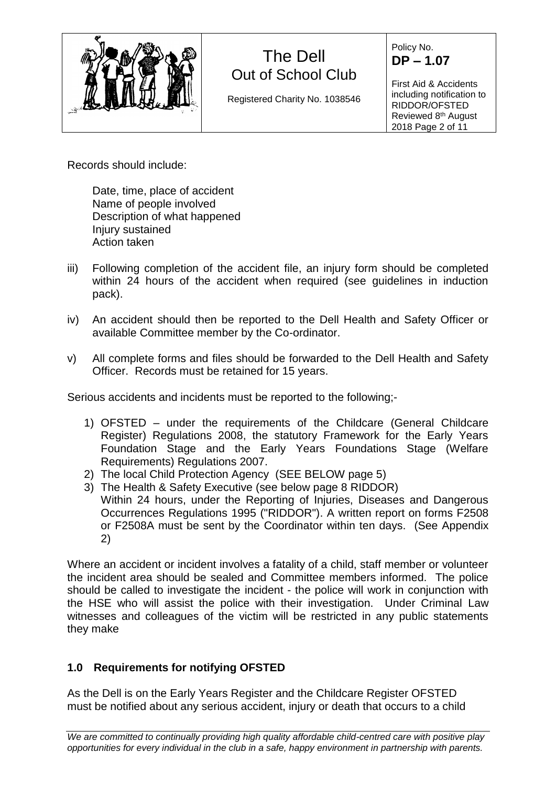

Registered Charity No. 1038546

Policy No. **DP – 1.07**

First Aid & Accidents including notification to RIDDOR/OFSTED Reviewed 8<sup>th</sup> August 2018 Page 2 of 11

Records should include:

Date, time, place of accident Name of people involved Description of what happened Injury sustained Action taken

- iii) Following completion of the accident file, an injury form should be completed within 24 hours of the accident when required (see guidelines in induction pack).
- iv) An accident should then be reported to the Dell Health and Safety Officer or available Committee member by the Co-ordinator.
- v) All complete forms and files should be forwarded to the Dell Health and Safety Officer. Records must be retained for 15 years.

Serious accidents and incidents must be reported to the following;-

- 1) OFSTED under the requirements of the Childcare (General Childcare Register) Regulations 2008, the statutory Framework for the Early Years Foundation Stage and the Early Years Foundations Stage (Welfare Requirements) Regulations 2007.
- 2) The local Child Protection Agency (SEE BELOW page 5)
- 3) The Health & Safety Executive (see below page 8 RIDDOR) Within 24 hours, under the Reporting of Injuries, Diseases and Dangerous Occurrences Regulations 1995 ("RIDDOR"). A written report on forms F2508 or F2508A must be sent by the Coordinator within ten days. (See Appendix 2)

Where an accident or incident involves a fatality of a child, staff member or volunteer the incident area should be sealed and Committee members informed. The police should be called to investigate the incident - the police will work in conjunction with the HSE who will assist the police with their investigation. Under Criminal Law witnesses and colleagues of the victim will be restricted in any public statements they make

# **1.0 Requirements for notifying OFSTED**

As the Dell is on the Early Years Register and the Childcare Register OFSTED must be notified about any serious accident, injury or death that occurs to a child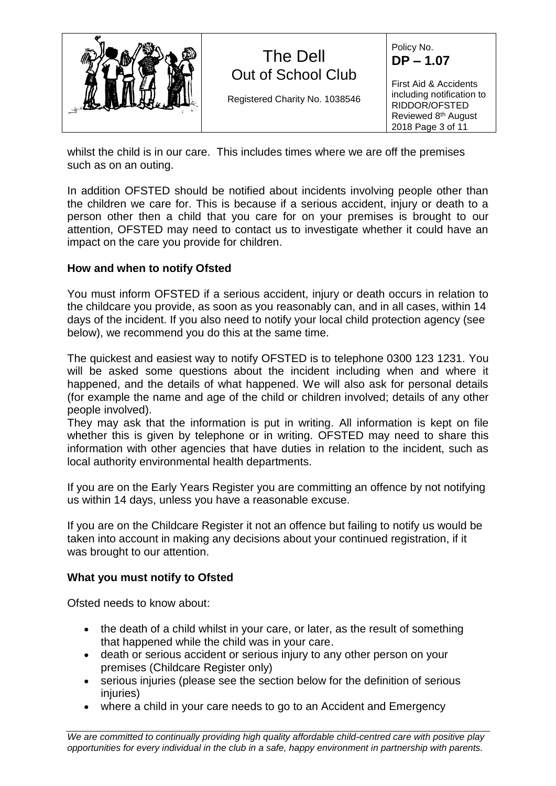

whilst the child is in our care. This includes times where we are off the premises such as on an outing.

In addition OFSTED should be notified about incidents involving people other than the children we care for. This is because if a serious accident, injury or death to a person other then a child that you care for on your premises is brought to our attention, OFSTED may need to contact us to investigate whether it could have an impact on the care you provide for children.

### **How and when to notify Ofsted**

You must inform OFSTED if a serious accident, injury or death occurs in relation to the childcare you provide, as soon as you reasonably can, and in all cases, within 14 days of the incident. If you also need to notify your local child protection agency (see below), we recommend you do this at the same time.

The quickest and easiest way to notify OFSTED is to telephone 0300 123 1231. You will be asked some questions about the incident including when and where it happened, and the details of what happened. We will also ask for personal details (for example the name and age of the child or children involved; details of any other people involved).

They may ask that the information is put in writing. All information is kept on file whether this is given by telephone or in writing. OFSTED may need to share this information with other agencies that have duties in relation to the incident, such as local authority environmental health departments.

If you are on the Early Years Register you are committing an offence by not notifying us within 14 days, unless you have a reasonable excuse.

If you are on the Childcare Register it not an offence but failing to notify us would be taken into account in making any decisions about your continued registration, if it was brought to our attention.

#### **What you must notify to Ofsted**

Ofsted needs to know about:

- the death of a child whilst in your care, or later, as the result of something that happened while the child was in your care.
- death or serious accident or serious injury to any other person on your premises (Childcare Register only)
- serious injuries (please see the section below for the definition of serious injuries)
- where a child in your care needs to go to an Accident and Emergency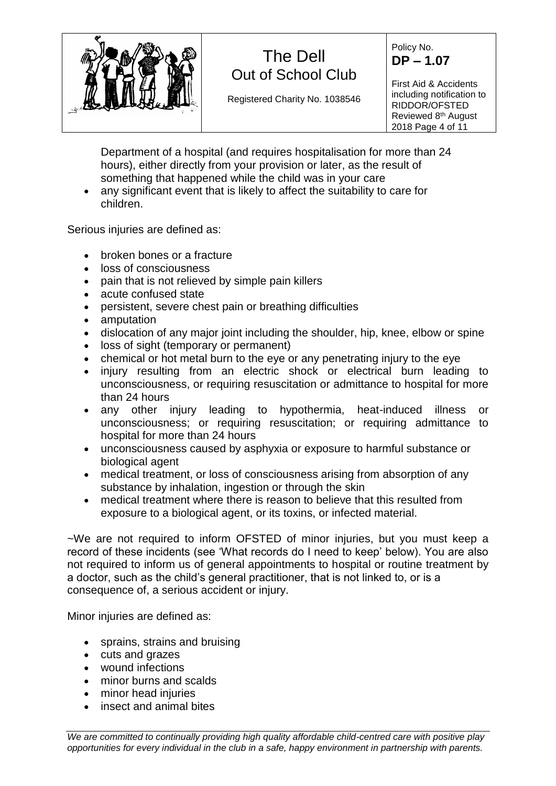

Registered Charity No. 1038546

Policy No. **DP – 1.07**

First Aid & Accidents including notification to RIDDOR/OFSTED Reviewed 8<sup>th</sup> August 2018 Page 4 of 11

Department of a hospital (and requires hospitalisation for more than 24 hours), either directly from your provision or later, as the result of something that happened while the child was in your care

• any significant event that is likely to affect the suitability to care for children.

Serious injuries are defined as:

- broken bones or a fracture
- loss of consciousness
- pain that is not relieved by simple pain killers
- acute confused state
- persistent, severe chest pain or breathing difficulties
- amputation
- dislocation of any major joint including the shoulder, hip, knee, elbow or spine
- loss of sight (temporary or permanent)
- chemical or hot metal burn to the eye or any penetrating injury to the eye
- injury resulting from an electric shock or electrical burn leading to unconsciousness, or requiring resuscitation or admittance to hospital for more than 24 hours
- any other injury leading to hypothermia, heat-induced illness or unconsciousness; or requiring resuscitation; or requiring admittance to hospital for more than 24 hours
- unconsciousness caused by asphyxia or exposure to harmful substance or biological agent
- medical treatment, or loss of consciousness arising from absorption of any substance by inhalation, ingestion or through the skin
- medical treatment where there is reason to believe that this resulted from exposure to a biological agent, or its toxins, or infected material.

~We are not required to inform OFSTED of minor injuries, but you must keep a record of these incidents (see 'What records do I need to keep' below). You are also not required to inform us of general appointments to hospital or routine treatment by a doctor, such as the child's general practitioner, that is not linked to, or is a consequence of, a serious accident or injury.

Minor injuries are defined as:

- sprains, strains and bruising
- cuts and grazes
- wound infections
- minor burns and scalds
- minor head injuries
- insect and animal bites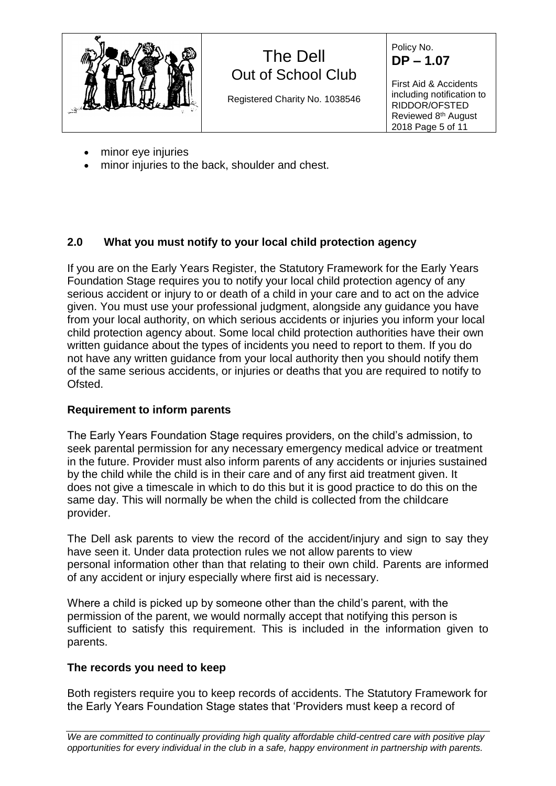

Registered Charity No. 1038546

Policy No. **DP – 1.07**

First Aid & Accidents including notification to RIDDOR/OFSTED Reviewed 8<sup>th</sup> August 2018 Page 5 of 11

- minor eye injuries
- minor injuries to the back, shoulder and chest.

## **2.0 What you must notify to your local child protection agency**

If you are on the Early Years Register, the Statutory Framework for the Early Years Foundation Stage requires you to notify your local child protection agency of any serious accident or injury to or death of a child in your care and to act on the advice given. You must use your professional judgment, alongside any guidance you have from your local authority, on which serious accidents or injuries you inform your local child protection agency about. Some local child protection authorities have their own written guidance about the types of incidents you need to report to them. If you do not have any written guidance from your local authority then you should notify them of the same serious accidents, or injuries or deaths that you are required to notify to Ofsted.

## **Requirement to inform parents**

The Early Years Foundation Stage requires providers, on the child's admission, to seek parental permission for any necessary emergency medical advice or treatment in the future. Provider must also inform parents of any accidents or injuries sustained by the child while the child is in their care and of any first aid treatment given. It does not give a timescale in which to do this but it is good practice to do this on the same day. This will normally be when the child is collected from the childcare provider.

The Dell ask parents to view the record of the accident/injury and sign to say they have seen it. Under data protection rules we not allow parents to view personal information other than that relating to their own child. Parents are informed of any accident or injury especially where first aid is necessary.

Where a child is picked up by someone other than the child's parent, with the permission of the parent, we would normally accept that notifying this person is sufficient to satisfy this requirement. This is included in the information given to parents.

## **The records you need to keep**

Both registers require you to keep records of accidents. The Statutory Framework for the Early Years Foundation Stage states that 'Providers must keep a record of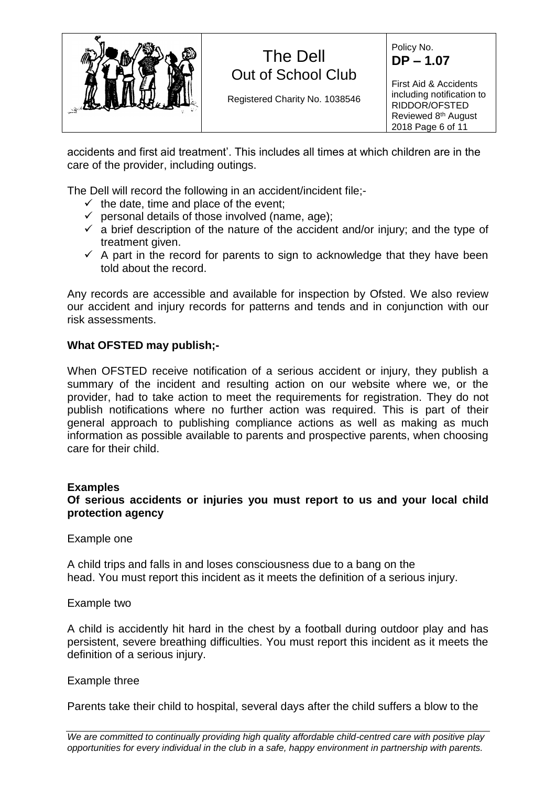

Registered Charity No. 1038546

Policy No. **DP – 1.07**

First Aid & Accidents including notification to RIDDOR/OFSTED Reviewed 8<sup>th</sup> August 2018 Page 6 of 11

accidents and first aid treatment'. This includes all times at which children are in the care of the provider, including outings.

The Dell will record the following in an accident/incident file;-

- $\checkmark$  the date, time and place of the event:
- $\checkmark$  personal details of those involved (name, age);
- $\checkmark$  a brief description of the nature of the accident and/or injury; and the type of treatment given.
- $\checkmark$  A part in the record for parents to sign to acknowledge that they have been told about the record.

Any records are accessible and available for inspection by Ofsted. We also review our accident and injury records for patterns and tends and in conjunction with our risk assessments.

### **What OFSTED may publish;-**

When OFSTED receive notification of a serious accident or injury, they publish a summary of the incident and resulting action on our website where we, or the provider, had to take action to meet the requirements for registration. They do not publish notifications where no further action was required. This is part of their general approach to publishing compliance actions as well as making as much information as possible available to parents and prospective parents, when choosing care for their child.

#### **Examples**

#### **Of serious accidents or injuries you must report to us and your local child protection agency**

Example one

A child trips and falls in and loses consciousness due to a bang on the head. You must report this incident as it meets the definition of a serious injury.

Example two

A child is accidently hit hard in the chest by a football during outdoor play and has persistent, severe breathing difficulties. You must report this incident as it meets the definition of a serious injury.

#### Example three

Parents take their child to hospital, several days after the child suffers a blow to the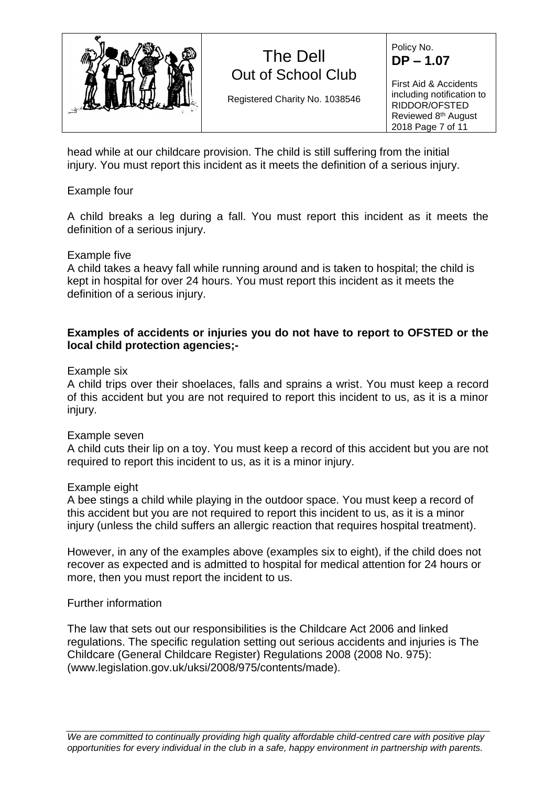

Registered Charity No. 1038546

Policy No. **DP – 1.07**

First Aid & Accidents including notification to RIDDOR/OFSTED Reviewed 8<sup>th</sup> August 2018 Page 7 of 11

head while at our childcare provision. The child is still suffering from the initial injury. You must report this incident as it meets the definition of a serious injury.

### Example four

A child breaks a leg during a fall. You must report this incident as it meets the definition of a serious injury.

### Example five

A child takes a heavy fall while running around and is taken to hospital; the child is kept in hospital for over 24 hours. You must report this incident as it meets the definition of a serious injury.

### **Examples of accidents or injuries you do not have to report to OFSTED or the local child protection agencies;-**

#### Example six

A child trips over their shoelaces, falls and sprains a wrist. You must keep a record of this accident but you are not required to report this incident to us, as it is a minor injury.

#### Example seven

A child cuts their lip on a toy. You must keep a record of this accident but you are not required to report this incident to us, as it is a minor injury.

#### Example eight

A bee stings a child while playing in the outdoor space. You must keep a record of this accident but you are not required to report this incident to us, as it is a minor injury (unless the child suffers an allergic reaction that requires hospital treatment).

However, in any of the examples above (examples six to eight), if the child does not recover as expected and is admitted to hospital for medical attention for 24 hours or more, then you must report the incident to us.

## Further information

The law that sets out our responsibilities is the Childcare Act 2006 and linked regulations. The specific regulation setting out serious accidents and injuries is The Childcare (General Childcare Register) Regulations 2008 (2008 No. 975): (www.legislation.gov.uk/uksi/2008/975/contents/made).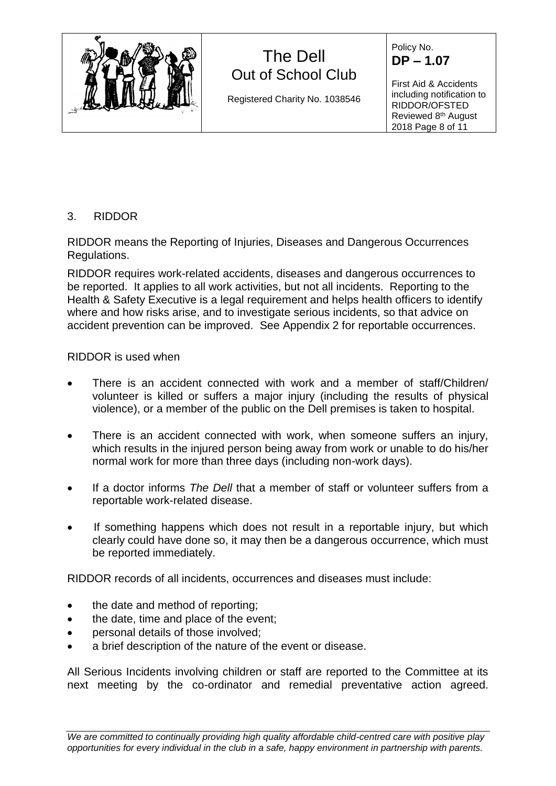

Registered Charity No. 1038546

Policy No. **DP – 1.07**

First Aid & Accidents including notification to RIDDOR/OFSTED Reviewed 8<sup>th</sup> August 2018 Page 8 of 11

## 3. RIDDOR

RIDDOR means the Reporting of Injuries, Diseases and Dangerous Occurrences Regulations.

RIDDOR requires work-related accidents, diseases and dangerous occurrences to be reported. It applies to all work activities, but not all incidents. Reporting to the Health & Safety Executive is a legal requirement and helps health officers to identify where and how risks arise, and to investigate serious incidents, so that advice on accident prevention can be improved. See Appendix 2 for reportable occurrences.

## RIDDOR is used when

- There is an accident connected with work and a member of staff/Children/ volunteer is killed or suffers a major injury (including the results of physical violence), or a member of the public on the Dell premises is taken to hospital.
- There is an accident connected with work, when someone suffers an injury, which results in the injured person being away from work or unable to do his/her normal work for more than three days (including non-work days).
- If a doctor informs *The Dell* that a member of staff or volunteer suffers from a reportable work-related disease.
- If something happens which does not result in a reportable injury, but which clearly could have done so, it may then be a dangerous occurrence, which must be reported immediately.

RIDDOR records of all incidents, occurrences and diseases must include:

- the date and method of reporting;
- the date, time and place of the event;
- personal details of those involved;
- a brief description of the nature of the event or disease.

All Serious Incidents involving children or staff are reported to the Committee at its next meeting by the co-ordinator and remedial preventative action agreed.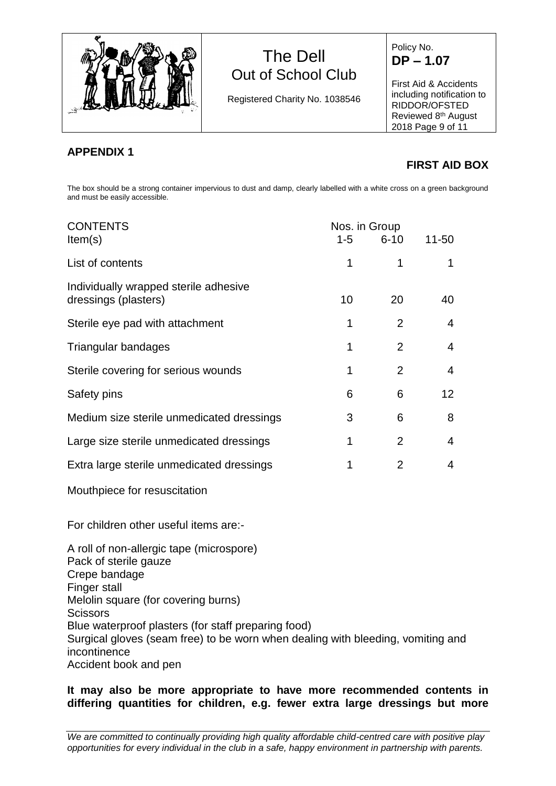

Registered Charity No. 1038546

Policy No. **DP – 1.07**

First Aid & Accidents including notification to RIDDOR/OFSTED Reviewed 8<sup>th</sup> August 2018 Page 9 of 11

## **APPENDIX 1**

# **FIRST AID BOX**

The box should be a strong container impervious to dust and damp, clearly labelled with a white cross on a green background and must be easily accessible.

| <b>CONTENTS</b><br>Item(s)                                    | Nos. in Group<br>$6 - 10$<br>$11 - 50$<br>$1 - 5$ |                |                |
|---------------------------------------------------------------|---------------------------------------------------|----------------|----------------|
|                                                               |                                                   |                |                |
| List of contents                                              |                                                   | 1              |                |
| Individually wrapped sterile adhesive<br>dressings (plasters) | 10                                                | 20             | 40             |
| Sterile eye pad with attachment                               |                                                   | 2              | $\overline{4}$ |
| Triangular bandages                                           |                                                   | $\overline{2}$ | 4              |
| Sterile covering for serious wounds                           |                                                   | 2              | 4              |
| Safety pins                                                   | 6                                                 | 6              | 12             |
| Medium size sterile unmedicated dressings                     | 3                                                 | 6              | 8              |
| Large size sterile unmedicated dressings                      | 1                                                 | 2              | 4              |
| Extra large sterile unmedicated dressings                     |                                                   | 2              | 4              |

Mouthpiece for resuscitation

For children other useful items are:-

A roll of non-allergic tape (microspore) Pack of sterile gauze Crepe bandage Finger stall Melolin square (for covering burns) **Scissors** Blue waterproof plasters (for staff preparing food) Surgical gloves (seam free) to be worn when dealing with bleeding, vomiting and incontinence Accident book and pen

### **It may also be more appropriate to have more recommended contents in differing quantities for children, e.g. fewer extra large dressings but more**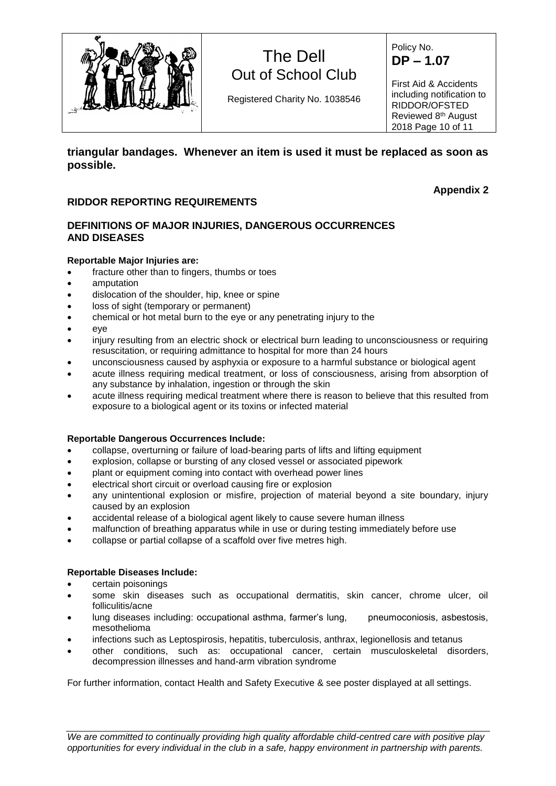

Registered Charity No. 1038546

Policy No. **DP – 1.07**

First Aid & Accidents including notification to RIDDOR/OFSTED Reviewed 8<sup>th</sup> August 2018 Page 10 of 11

**triangular bandages. Whenever an item is used it must be replaced as soon as possible.**

#### **RIDDOR REPORTING REQUIREMENTS**

#### **Appendix 2**

#### **DEFINITIONS OF MAJOR INJURIES, DANGEROUS OCCURRENCES AND DISEASES**

#### **Reportable Major Injuries are:**

- fracture other than to fingers, thumbs or toes
- amputation
- dislocation of the shoulder, hip, knee or spine
- loss of sight (temporary or permanent)
- chemical or hot metal burn to the eye or any penetrating injury to the
- eye
- injury resulting from an electric shock or electrical burn leading to unconsciousness or requiring resuscitation, or requiring admittance to hospital for more than 24 hours
- unconsciousness caused by asphyxia or exposure to a harmful substance or biological agent
- acute illness requiring medical treatment, or loss of consciousness, arising from absorption of any substance by inhalation, ingestion or through the skin
- acute illness requiring medical treatment where there is reason to believe that this resulted from exposure to a biological agent or its toxins or infected material

#### **Reportable Dangerous Occurrences Include:**

- collapse, overturning or failure of load-bearing parts of lifts and lifting equipment
- explosion, collapse or bursting of any closed vessel or associated pipework
- plant or equipment coming into contact with overhead power lines
- electrical short circuit or overload causing fire or explosion
- any unintentional explosion or misfire, projection of material beyond a site boundary, injury caused by an explosion
- accidental release of a biological agent likely to cause severe human illness
- malfunction of breathing apparatus while in use or during testing immediately before use
- collapse or partial collapse of a scaffold over five metres high.

#### **Reportable Diseases Include:**

- certain poisonings
- some skin diseases such as occupational dermatitis, skin cancer, chrome ulcer, oil folliculitis/acne
- lung diseases including: occupational asthma, farmer's lung, pneumoconiosis, asbestosis, mesothelioma
- infections such as Leptospirosis, hepatitis, tuberculosis, anthrax, legionellosis and tetanus
- other conditions, such as: occupational cancer, certain musculoskeletal disorders, decompression illnesses and hand-arm vibration syndrome

For further information, contact Health and Safety Executive & see poster displayed at all settings.